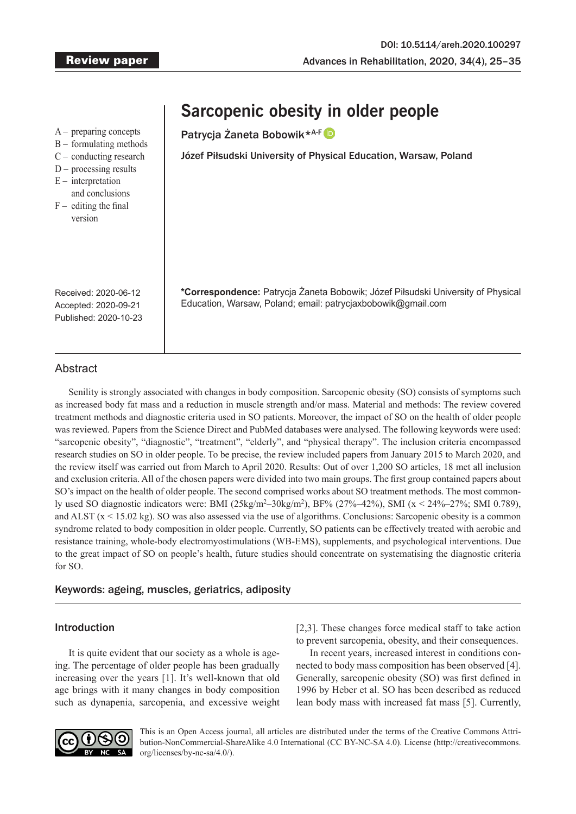# Patrycia Żaneta Bobowik\*<sup>A-F</sup> Józef Piłsudski University of Physical Education, Warsaw, Poland **\*Correspondence:** Patrycja Żaneta Bobowik; Józef Piłsudski University of Physical Education, Warsaw, Poland; email: patrycjaxbobowik@gmail.com A – preparing concepts B – formulating methods C – conducting research  $D$  – processing results  $E$  – interpretation and conclusions  $F -$  editing the final version Received: 2020-06-12 Accepted: 2020-09-21 Published: 2020-10-23

**Sarcopenic obesity in older people**

## Abstract

Senility is strongly associated with changes in body composition. Sarcopenic obesity (SO) consists of symptoms such as increased body fat mass and a reduction in muscle strength and/or mass. Material and methods: The review covered treatment methods and diagnostic criteria used in SO patients. Moreover, the impact of SO on the health of older people was reviewed. Papers from the Science Direct and PubMed databases were analysed. The following keywords were used: "sarcopenic obesity", "diagnostic", "treatment", "elderly", and "physical therapy". The inclusion criteria encompassed research studies on SO in older people. To be precise, the review included papers from January 2015 to March 2020, and the review itself was carried out from March to April 2020. Results: Out of over 1,200 SO articles, 18 met all inclusion and exclusion criteria. All of the chosen papers were divided into two main groups. The first group contained papers about SO's impact on the health of older people. The second comprised works about SO treatment methods. The most commonly used SO diagnostic indicators were: BMI  $(25\text{kg/m}^2 - 30\text{kg/m}^2)$ , BF%  $(27\% - 42\%)$ , SMI  $(x < 24\% - 27\%)$ ; SMI 0.789), and ALST  $(x < 15.02$  kg). SO was also assessed via the use of algorithms. Conclusions: Sarcopenic obesity is a common syndrome related to body composition in older people. Currently, SO patients can be effectively treated with aerobic and resistance training, whole-body electromyostimulations (WB-EMS), supplements, and psychological interventions. Due to the great impact of SO on people's health, future studies should concentrate on systematising the diagnostic criteria for SO.

### Keywords: ageing, muscles, geriatrics, adiposity

### Introduction

It is quite evident that our society as a whole is ageing. The percentage of older people has been gradually increasing over the years [1]. It's well-known that old age brings with it many changes in body composition such as dynapenia, sarcopenia, and excessive weight [2,3]. These changes force medical staff to take action to prevent sarcopenia, obesity, and their consequences.

In recent years, increased interest in conditions connected to body mass composition has been observed [4]. Generally, sarcopenic obesity (SO) was first defined in 1996 by Heber et al. SO has been described as reduced lean body mass with increased fat mass [5]. Currently,



This is an Open Access journal, all articles are distributed under the terms of the Creative Commons Attribution-NonCommercial-ShareAlike 4.0 International (CC BY-NC-SA 4.0). License (http://creativecommons. org/licenses/by-nc-sa/4.0/).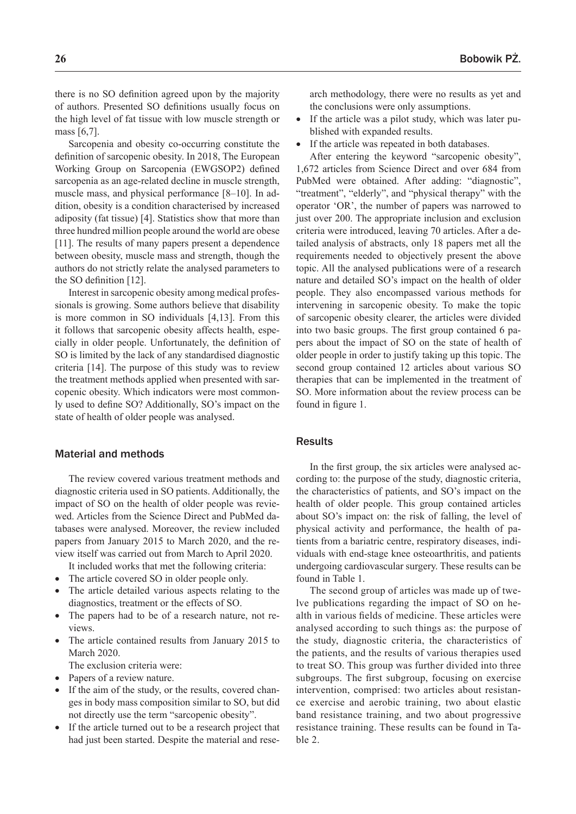there is no SO definition agreed upon by the majority of authors. Presented SO definitions usually focus on the high level of fat tissue with low muscle strength or mass [6,7].

Sarcopenia and obesity co-occurring constitute the definition of sarcopenic obesity. In 2018, The European Working Group on Sarcopenia (EWGSOP2) defined sarcopenia as an age-related decline in muscle strength, muscle mass, and physical performance [8–10]. In addition, obesity is a condition characterised by increased adiposity (fat tissue) [4]. Statistics show that more than three hundred million people around the world are obese [11]. The results of many papers present a dependence between obesity, muscle mass and strength, though the authors do not strictly relate the analysed parameters to the SO definition [12].

Interest in sarcopenic obesity among medical professionals is growing. Some authors believe that disability is more common in SO individuals [4,13]. From this it follows that sarcopenic obesity affects health, especially in older people. Unfortunately, the definition of SO is limited by the lack of any standardised diagnostic criteria [14]. The purpose of this study was to review the treatment methods applied when presented with sarcopenic obesity. Which indicators were most commonly used to define SO? Additionally, SO's impact on the state of health of older people was analysed.

### Material and methods

The review covered various treatment methods and diagnostic criteria used in SO patients. Additionally, the impact of SO on the health of older people was reviewed. Articles from the Science Direct and PubMed databases were analysed. Moreover, the review included papers from January 2015 to March 2020, and the review itself was carried out from March to April 2020.

It included works that met the following criteria:

- The article covered SO in older people only.
- The article detailed various aspects relating to the diagnostics, treatment or the effects of SO.
- The papers had to be of a research nature, not reviews.
- The article contained results from January 2015 to March 2020.

The exclusion criteria were:

- Papers of a review nature.
- If the aim of the study, or the results, covered changes in body mass composition similar to SO, but did not directly use the term "sarcopenic obesity".
- If the article turned out to be a research project that had just been started. Despite the material and rese-

arch methodology, there were no results as yet and the conclusions were only assumptions.

- If the article was a pilot study, which was later published with expanded results.
- If the article was repeated in both databases.

After entering the keyword "sarcopenic obesity", 1,672 articles from Science Direct and over 684 from PubMed were obtained. After adding: "diagnostic", "treatment", "elderly", and "physical therapy" with the operator 'OR', the number of papers was narrowed to just over 200. The appropriate inclusion and exclusion criteria were introduced, leaving 70 articles. After a detailed analysis of abstracts, only 18 papers met all the requirements needed to objectively present the above topic. All the analysed publications were of a research nature and detailed SO's impact on the health of older people. They also encompassed various methods for intervening in sarcopenic obesity. To make the topic of sarcopenic obesity clearer, the articles were divided into two basic groups. The first group contained 6 papers about the impact of SO on the state of health of older people in order to justify taking up this topic. The second group contained 12 articles about various SO therapies that can be implemented in the treatment of SO. More information about the review process can be found in figure 1.

### **Results**

In the first group, the six articles were analysed according to: the purpose of the study, diagnostic criteria, the characteristics of patients, and SO's impact on the health of older people. This group contained articles about SO's impact on: the risk of falling, the level of physical activity and performance, the health of patients from a bariatric centre, respiratory diseases, individuals with end-stage knee osteoarthritis, and patients undergoing cardiovascular surgery. These results can be found in Table 1.

The second group of articles was made up of twelve publications regarding the impact of SO on health in various fields of medicine. These articles were analysed according to such things as: the purpose of the study, diagnostic criteria, the characteristics of the patients, and the results of various therapies used to treat SO. This group was further divided into three subgroups. The first subgroup, focusing on exercise intervention, comprised: two articles about resistance exercise and aerobic training, two about elastic band resistance training, and two about progressive resistance training. These results can be found in Table 2.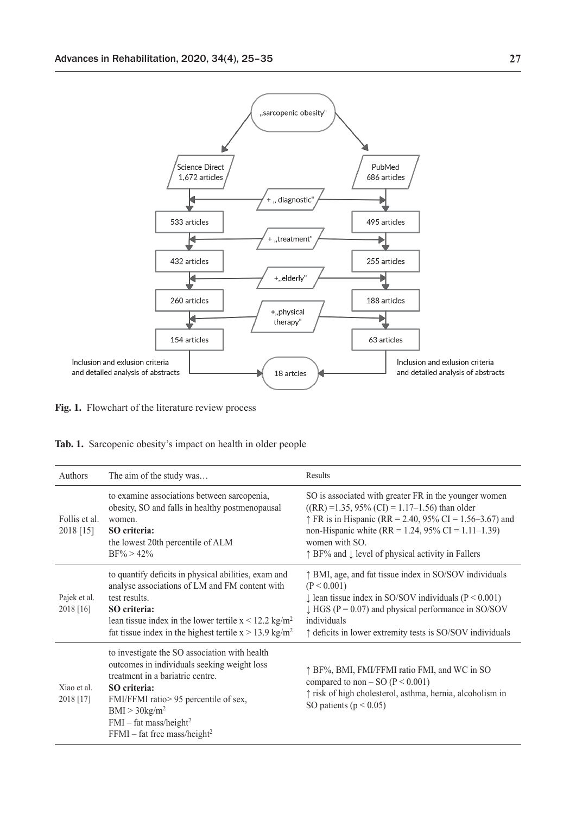

**Fig. 1.** Flowchart of the literature review process

|  | Tab. 1. Sarcopenic obesity's impact on health in older people |  |  |  |  |  |
|--|---------------------------------------------------------------|--|--|--|--|--|
|--|---------------------------------------------------------------|--|--|--|--|--|

| Authors                    | The aim of the study was                                                                                                                                                                                                                                                                           | Results                                                                                                                                                                                                                                                                                                                           |
|----------------------------|----------------------------------------------------------------------------------------------------------------------------------------------------------------------------------------------------------------------------------------------------------------------------------------------------|-----------------------------------------------------------------------------------------------------------------------------------------------------------------------------------------------------------------------------------------------------------------------------------------------------------------------------------|
| Follis et al.<br>2018 [15] | to examine associations between sarcopenia,<br>obesity, SO and falls in healthy postmenopausal<br>women.<br>SO criteria:<br>the lowest 20th percentile of ALM<br>$BF\% > 42\%$                                                                                                                     | SO is associated with greater FR in the younger women<br>$((RR) = 1.35, 95\% (CI) = 1.17 - 1.56)$ than older<br>$\uparrow$ FR is in Hispanic (RR = 2.40, 95% CI = 1.56–3.67) and<br>non-Hispanic white (RR = 1.24, 95% CI = 1.11–1.39)<br>women with SO.<br>$\uparrow$ BF% and $\downarrow$ level of physical activity in Fallers |
| Pajek et al.<br>2018 [16]  | to quantify deficits in physical abilities, exam and<br>analyse associations of LM and FM content with<br>test results.<br>SO criteria:<br>lean tissue index in the lower tertile $x < 12.2$ kg/m <sup>2</sup><br>fat tissue index in the highest tertile $x > 13.9$ kg/m <sup>2</sup>             | ↑ BMI, age, and fat tissue index in SO/SOV individuals<br>(P < 0.001)<br>$\downarrow$ lean tissue index in SO/SOV individuals (P < 0.001)<br>$\downarrow$ HGS (P = 0.07) and physical performance in SO/SOV<br>individuals<br>$\uparrow$ deficits in lower extremity tests is SO/SOV individuals                                  |
| Xiao et al.<br>2018 [17]   | to investigate the SO association with health<br>outcomes in individuals seeking weight loss<br>treatment in a bariatric centre.<br>SO criteria:<br>FMI/FFMI ratio > 95 percentile of sex,<br>BMI > 30 kg/m <sup>2</sup><br>$FMI - fat mass/height2$<br>$FFMI - fat$ free mass/height <sup>2</sup> | ↑ BF%, BMI, FMI/FFMI ratio FMI, and WC in SO<br>compared to non – SO ( $P < 0.001$ )<br>↑ risk of high cholesterol, asthma, hernia, alcoholism in<br>SO patients ( $p < 0.05$ )                                                                                                                                                   |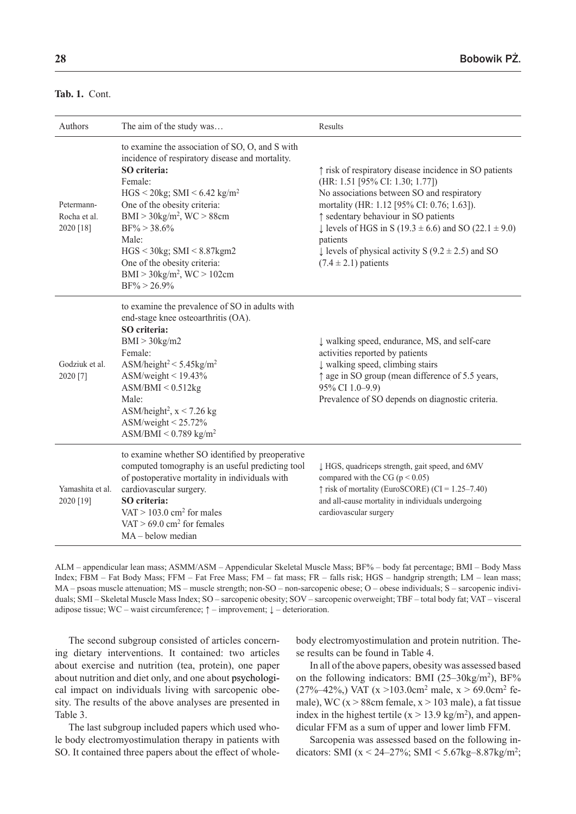| Authors                                 | The aim of the study was                                                                                                                                                                                                                                                                                                                                                                                                 | Results                                                                                                                                                                                                                                                                                                                                                                                             |
|-----------------------------------------|--------------------------------------------------------------------------------------------------------------------------------------------------------------------------------------------------------------------------------------------------------------------------------------------------------------------------------------------------------------------------------------------------------------------------|-----------------------------------------------------------------------------------------------------------------------------------------------------------------------------------------------------------------------------------------------------------------------------------------------------------------------------------------------------------------------------------------------------|
| Petermann-<br>Rocha et al.<br>2020 [18] | to examine the association of SO, O, and S with<br>incidence of respiratory disease and mortality.<br>SO criteria:<br>Female:<br>$HGS < 20$ kg; SMI < 6.42 kg/m <sup>2</sup><br>One of the obesity criteria:<br>$BMI > 30$ kg/m <sup>2</sup> , WC > 88cm<br>$BF\% > 38.6\%$<br>Male:<br>$HGS < 30$ kg; SMI $< 8.87$ kgm2<br>One of the obesity criteria:<br>$BMI > 30$ kg/m <sup>2</sup> , WC > 102cm<br>$BF\% > 26.9\%$ | ↑ risk of respiratory disease incidence in SO patients<br>(HR: 1.51 [95% CI: 1.30; 1.77])<br>No associations between SO and respiratory<br>mortality (HR: 1.12 [95% CI: 0.76; 1.63]).<br>↑ sedentary behaviour in SO patients<br>↓ levels of HGS in S (19.3 ± 6.6) and SO (22.1 ± 9.0)<br>patients<br>$\downarrow$ levels of physical activity S (9.2 $\pm$ 2.5) and SO<br>$(7.4 \pm 2.1)$ patients |
| Godziuk et al.<br>2020 [7]              | to examine the prevalence of SO in adults with<br>end-stage knee osteoarthritis (OA).<br>SO criteria:<br>BMI > 30kg/m2<br>Female:<br>ASM/height <sup>2</sup> < $5.45$ kg/m <sup>2</sup><br>$\text{ASM/weight}$ < 19.43%<br>ASM/BMI < 0.512kg<br>Male:<br>ASM/height <sup>2</sup> , $x < 7.26$ kg<br>$\text{ASM/weight} \leq 25.72\%$<br>$\text{ASM/BMI} \leq 0.789 \text{ kg/m}^2$                                       | ↓ walking speed, endurance, MS, and self-care<br>activities reported by patients<br>↓ walking speed, climbing stairs<br>↑ age in SO group (mean difference of 5.5 years,<br>95% CI 1.0-9.9)<br>Prevalence of SO depends on diagnostic criteria.                                                                                                                                                     |
| Yamashita et al.<br>2020 [19]           | to examine whether SO identified by preoperative<br>computed tomography is an useful predicting tool<br>of postoperative mortality in individuals with<br>cardiovascular surgery.<br>SO criteria:<br>VAT > $103.0$ cm <sup>2</sup> for males<br>VAT > $69.0 \text{ cm}^2$ for females<br>$MA - below median$                                                                                                             | ↓ HGS, quadriceps strength, gait speed, and 6MV<br>compared with the CG ( $p < 0.05$ )<br>$\uparrow$ risk of mortality (EuroSCORE) (CI = 1.25–7.40)<br>and all-cause mortality in individuals undergoing<br>cardiovascular surgery                                                                                                                                                                  |

ALM – appendicular lean mass; ASMM/ASM – Appendicular Skeletal Muscle Mass; BF% – body fat percentage; BMI – Body Mass Index; FBM – Fat Body Mass; FFM – Fat Free Mass; FM – fat mass; FR – falls risk; HGS – handgrip strength; LM – lean mass; MA – psoas muscle attenuation; MS – muscle strength; non-SO – non-sarcopenic obese; O – obese individuals; S – sarcopenic individuals; SMI – Skeletal Muscle Mass Index; SO – sarcopenic obesity; SOV – sarcopenic overweight; TBF – total body fat; VAT – visceral adipose tissue; WC – waist circumference;  $\uparrow$  – improvement;  $\downarrow$  – deterioration.

The second subgroup consisted of articles concerning dietary interventions. It contained: two articles about exercise and nutrition (tea, protein), one paper about nutrition and diet only, and one about psychological impact on individuals living with sarcopenic obesity. The results of the above analyses are presented in Table 3.

The last subgroup included papers which used whole body electromyostimulation therapy in patients with SO. It contained three papers about the effect of wholebody electromyostimulation and protein nutrition. These results can be found in Table 4.

In all of the above papers, obesity was assessed based on the following indicators: BMI  $(25-30\text{kg/m}^2)$ , BF%  $(27\%-42\%)$  VAT (x >103.0cm<sup>2</sup> male, x > 69.0cm<sup>2</sup> female), WC ( $x > 88$ cm female,  $x > 103$  male), a fat tissue index in the highest tertile  $(x > 13.9 \text{ kg/m}^2)$ , and appendicular FFM as a sum of upper and lower limb FFM.

Sarcopenia was assessed based on the following indicators: SMI ( $x < 24-27\%$ ; SMI  $\lt 5.67\$ kg $-8.87\$ kg $/m^2$ ;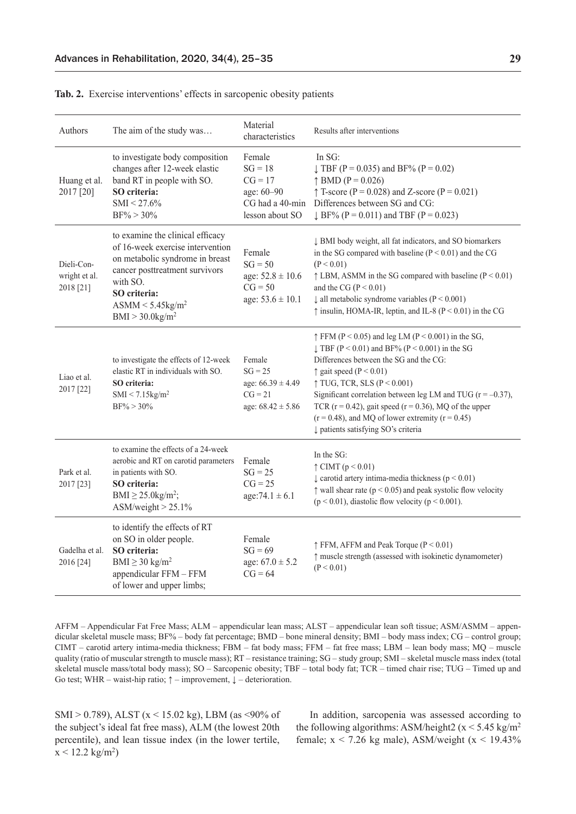| Authors                                  | The aim of the study was                                                                                                                                                                                                                       | Material<br>characteristics                                                        | Results after interventions                                                                                                                                                                                                                                                                                                                                                                                                                                                         |
|------------------------------------------|------------------------------------------------------------------------------------------------------------------------------------------------------------------------------------------------------------------------------------------------|------------------------------------------------------------------------------------|-------------------------------------------------------------------------------------------------------------------------------------------------------------------------------------------------------------------------------------------------------------------------------------------------------------------------------------------------------------------------------------------------------------------------------------------------------------------------------------|
| Huang et al.<br>2017 [20]                | to investigate body composition<br>changes after 12-week elastic<br>band RT in people with SO.<br>SO criteria:<br>$SMI < 27.6\%$<br>$BF\% > 30\%$                                                                                              | Female<br>$SG = 18$<br>$CG = 17$<br>age: 60-90<br>lesson about SO                  | In $SG:$<br>$\downarrow$ TBF (P = 0.035) and BF% (P = 0.02)<br>$\uparrow$ BMD (P = 0.026)<br>$\uparrow$ T-score (P = 0.028) and Z-score (P = 0.021)<br>CG had a 40-min Differences between SG and CG:<br>$\downarrow$ BF% (P = 0.011) and TBF (P = 0.023)                                                                                                                                                                                                                           |
| Dieli-Con-<br>wright et al.<br>2018 [21] | to examine the clinical efficacy<br>of 16-week exercise intervention<br>on metabolic syndrome in breast<br>cancer posttreatment survivors<br>with SO.<br>SO criteria:<br>$\text{ASMM}$ < 5.45kg/m <sup>2</sup><br>BMI > 30.0 kg/m <sup>2</sup> | Female<br>$SG = 50$<br>age: $52.8 \pm 10.6$<br>$CG = 50$<br>age: $53.6 \pm 10.1$   | ↓ BMI body weight, all fat indicators, and SO biomarkers<br>in the SG compared with baseline $(P < 0.01)$ and the CG<br>(P < 0.01)<br>$\uparrow$ LBM, ASMM in the SG compared with baseline (P < 0.01)<br>and the CG ( $P < 0.01$ )<br>$\downarrow$ all metabolic syndrome variables (P < 0.001)<br>$\uparrow$ insulin, HOMA-IR, leptin, and IL-8 (P < 0.01) in the CG                                                                                                              |
| Liao et al.<br>2017 [22]                 | to investigate the effects of 12-week<br>elastic RT in individuals with SO.<br>SO criteria:<br>$SMI < 7.15$ kg/m <sup>2</sup><br>$BF\% > 30\%$                                                                                                 | Female<br>$SG = 25$<br>age: $66.39 \pm 4.49$<br>$CG = 21$<br>age: $68.42 \pm 5.86$ | $\uparrow$ FFM (P < 0.05) and leg LM (P < 0.001) in the SG,<br>$\downarrow$ TBF (P < 0.01) and BF% (P < 0.001) in the SG<br>Differences between the SG and the CG:<br>$\uparrow$ gait speed (P < 0.01)<br>$\uparrow$ TUG, TCR, SLS (P < 0.001)<br>Significant correlation between leg LM and TUG ( $r = -0.37$ ),<br>TCR ( $r = 0.42$ ), gait speed ( $r = 0.36$ ), MQ of the upper<br>$(r = 0.48)$ , and MQ of lower extremity $(r = 0.45)$<br>↓ patients satisfying SO's criteria |
| Park et al.<br>2017 [23]                 | to examine the effects of a 24-week<br>aerobic and RT on carotid parameters<br>in patients with SO.<br>SO criteria:<br>$BMI \geq 25.0$ kg/m <sup>2</sup> ;<br>$ASM/weight > 25.1\%$                                                            | Female<br>$SG = 25$<br>$CG = 25$<br>$age:74.1 \pm 6.1$                             | In the SG:<br>$\uparrow$ CIMT (p < 0.01)<br>$\downarrow$ carotid artery intima-media thickness (p < 0.01)<br>$\uparrow$ wall shear rate ( $p < 0.05$ ) and peak systolic flow velocity<br>$(p < 0.01)$ , diastolic flow velocity $(p < 0.001)$ .                                                                                                                                                                                                                                    |
| Gadelha et al.<br>2016 [24]              | to identify the effects of RT<br>on SO in older people.<br>SO criteria:<br>BMI $\geq$ 30 kg/m <sup>2</sup><br>appendicular FFM - FFM<br>of lower and upper limbs;                                                                              | Female<br>$SG = 69$<br>age: $67.0 \pm 5.2$<br>$CG = 64$                            | $\uparrow$ FFM, AFFM and Peak Torque (P < 0.01)<br>↑ muscle strength (assessed with isokinetic dynamometer)<br>(P < 0.01)                                                                                                                                                                                                                                                                                                                                                           |

**Tab. 2.** Exercise interventions' effects in sarcopenic obesity patients

AFFM – Appendicular Fat Free Mass; ALM – appendicular lean mass; ALST – appendicular lean soft tissue; ASM/ASMM – appendicular skeletal muscle mass; BF% – body fat percentage; BMD – bone mineral density; BMI – body mass index; CG – control group; CIMT – carotid artery intima-media thickness; FBM – fat body mass; FFM – fat free mass; LBM – lean body mass; MQ – muscle quality (ratio of muscular strength to muscle mass); RT – resistance training; SG – study group; SMI – skeletal muscle mass index (total skeletal muscle mass/total body mass); SO – Sarcopenic obesity; TBF – total body fat; TCR – timed chair rise; TUG – Timed up and Go test; WHR – waist-hip ratio;  $\uparrow$  – improvement,  $\downarrow$  – deterioration.

SMI > 0.789), ALST ( $x$  < 15.02 kg), LBM (as <90% of the subject's ideal fat free mass), ALM (the lowest 20th percentile), and lean tissue index (in the lower tertile,  $x < 12.2$  kg/m<sup>2</sup>)

In addition, sarcopenia was assessed according to the following algorithms: ASM/height2 ( $x < 5.45$  kg/m<sup>2</sup> female;  $x < 7.26$  kg male), ASM/weight  $(x < 19.43\%)$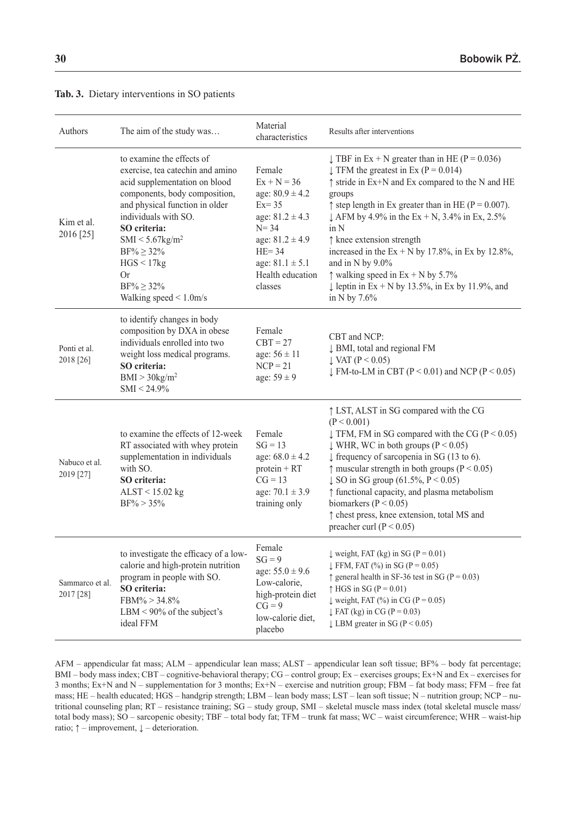| Authors                      | The aim of the study was                                                                                                                                                                                                                                                                                                                   | Material<br>characteristics                                                                                                                                                              | Results after interventions                                                                                                                                                                                                                                                                                                                                                                                                                                                                                                                                                 |
|------------------------------|--------------------------------------------------------------------------------------------------------------------------------------------------------------------------------------------------------------------------------------------------------------------------------------------------------------------------------------------|------------------------------------------------------------------------------------------------------------------------------------------------------------------------------------------|-----------------------------------------------------------------------------------------------------------------------------------------------------------------------------------------------------------------------------------------------------------------------------------------------------------------------------------------------------------------------------------------------------------------------------------------------------------------------------------------------------------------------------------------------------------------------------|
| Kim et al.<br>2016 [25]      | to examine the effects of<br>exercise, tea catechin and amino<br>acid supplementation on blood<br>components, body composition,<br>and physical function in older<br>individuals with SO.<br>SO criteria:<br>SMI < 5.67 kg/m <sup>2</sup><br>$BF\% \ge 32\%$<br>HGS < 17kg<br><b>Or</b><br>$BF\% \ge 32\%$<br>Walking speed $\leq 1.0$ m/s | Female<br>$Ex + N = 36$<br>age: $80.9 \pm 4.2$<br>$Ex = 35$<br>age: $81.2 \pm 4.3$<br>$N = 34$<br>age: $81.2 \pm 4.9$<br>$HE = 34$<br>age: $81.1 \pm 5.1$<br>Health education<br>classes | $\downarrow$ TBF in Ex + N greater than in HE (P = 0.036)<br>$\downarrow$ TFM the greatest in Ex (P = 0.014)<br>$\uparrow$ stride in Ex+N and Ex compared to the N and HE<br>groups<br>$\uparrow$ step length in Ex greater than in HE (P = 0.007).<br>$\downarrow$ AFM by 4.9% in the Ex + N, 3.4% in Ex, 2.5%<br>in N<br>$\uparrow$ knee extension strength<br>increased in the $Ex + N$ by 17.8%, in Ex by 12.8%,<br>and in N by $9.0\%$<br>$\uparrow$ walking speed in Ex + N by 5.7%<br>$\downarrow$ leptin in Ex + N by 13.5%, in Ex by 11.9%, and<br>in N by $7.6\%$ |
| Ponti et al.<br>2018 [26]    | to identify changes in body<br>composition by DXA in obese<br>individuals enrolled into two<br>weight loss medical programs.<br>SO criteria:<br>BMI > 30 kg/m <sup>2</sup><br>$SMI < 24.9\%$                                                                                                                                               | Female<br>$CBT = 27$<br>age: $56 \pm 11$<br>$NCP = 21$<br>age: $59 \pm 9$                                                                                                                | CBT and NCP:<br>↓ BMI, total and regional FM<br>$\downarrow$ VAT (P < 0.05)<br>$\downarrow$ FM-to-LM in CBT (P < 0.01) and NCP (P < 0.05)                                                                                                                                                                                                                                                                                                                                                                                                                                   |
| Nabuco et al.<br>2019 [27]   | to examine the effects of 12-week<br>RT associated with whey protein<br>supplementation in individuals<br>with SO.<br>SO criteria:<br>$ALST < 15.02$ kg<br>$BF\% > 35\%$                                                                                                                                                                   | Female<br>$SG = 13$<br>age: $68.0 \pm 4.2$<br>$protein + RT$<br>$CG = 13$<br>age: $70.1 \pm 3.9$<br>training only                                                                        | ↑ LST, ALST in SG compared with the CG<br>(P < 0.001)<br>$\downarrow$ TFM, FM in SG compared with the CG (P < 0.05)<br>$\downarrow$ WHR, WC in both groups (P < 0.05)<br>$\downarrow$ frequency of sarcopenia in SG (13 to 6).<br>$\uparrow$ muscular strength in both groups (P < 0.05)<br>$\downarrow$ SO in SG group (61.5%, P < 0.05)<br>↑ functional capacity, and plasma metabolism<br>biomarkers ( $P < 0.05$ )<br>thest press, knee extension, total MS and<br>preacher curl ( $P < 0.05$ )                                                                         |
| Sammarco et al.<br>2017 [28] | to investigate the efficacy of a low-<br>calorie and high-protein nutrition<br>program in people with SO.<br>SO criteria:<br>$FBM\% > 34.8\%$<br>LBM < $90\%$ of the subject's<br>ideal FFM                                                                                                                                                | Female<br>$SG = 9$<br>age: $55.0 \pm 9.6$<br>Low-calorie,<br>high-protein diet<br>$CG = 9$<br>low-calorie diet,<br>placebo                                                               | $\downarrow$ weight, FAT (kg) in SG (P = 0.01)<br>$\downarrow$ FFM, FAT (%) in SG (P = 0.05)<br>$\uparrow$ general health in SF-36 test in SG (P = 0.03)<br>$\uparrow$ HGS in SG (P = 0.01)<br>$\downarrow$ weight, FAT (%) in CG (P = 0.05)<br>$\downarrow$ FAT (kg) in CG (P = 0.03)<br>$\downarrow$ LBM greater in SG (P < 0.05)                                                                                                                                                                                                                                         |

### **Tab. 3.** Dietary interventions in SO patients

AFM – appendicular fat mass; ALM – appendicular lean mass; ALST – appendicular lean soft tissue; BF% – body fat percentage; BMI – body mass index; CBT – cognitive-behavioral therapy; CG – control group; Ex – exercises groups; Ex+N and Ex – exercises for 3 months; Ex+N and N – supplementation for 3 months; Ex+N – exercise and nutrition group; FBM – fat body mass; FFM – free fat mass; HE – health educated; HGS – handgrip strength; LBM – lean body mass; LST – lean soft tissue; N – nutrition group; NCP – nutritional counseling plan; RT – resistance training; SG – study group, SMI – skeletal muscle mass index (total skeletal muscle mass/ total body mass); SO – sarcopenic obesity; TBF – total body fat; TFM – trunk fat mass; WC – waist circumference; WHR – waist-hip ratio;  $\uparrow$  – improvement,  $\downarrow$  – deterioration.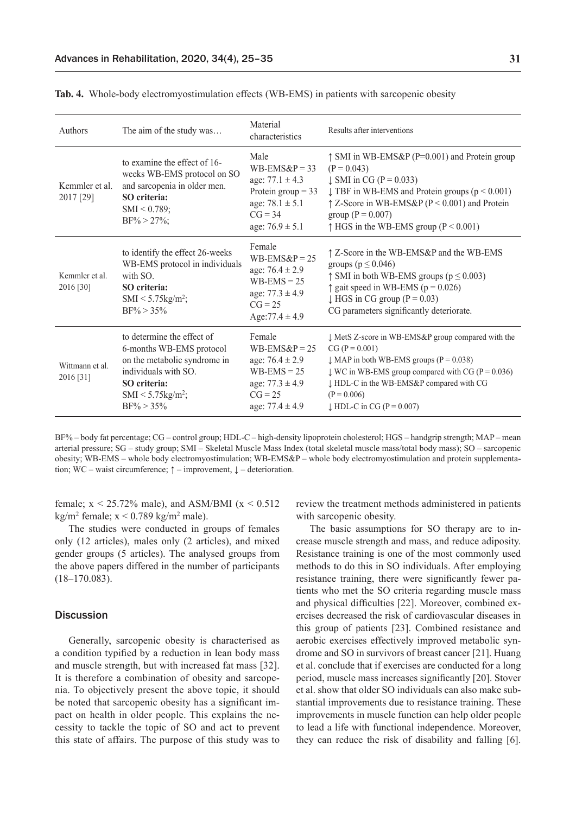| Authors                      | The aim of the study was                                                                                                                                                            | Material<br>characteristics                                                                                                               | Results after interventions                                                                                                                                                                                                                                                                                         |
|------------------------------|-------------------------------------------------------------------------------------------------------------------------------------------------------------------------------------|-------------------------------------------------------------------------------------------------------------------------------------------|---------------------------------------------------------------------------------------------------------------------------------------------------------------------------------------------------------------------------------------------------------------------------------------------------------------------|
| Kemmler et al.<br>2017 [29]  | to examine the effect of 16-<br>weeks WB-EMS protocol on SO<br>and sarcopenia in older men.<br>SO criteria:<br>$SMI < 0.789$ ;<br>$BF\% > 27\%;$                                    | Male<br>$WB\text{-}EMS\&P = 33$<br>age: $77.1 \pm 4.3$<br>Protein group $=$ 33<br>age: $78.1 \pm 5.1$<br>$CG = 34$<br>age: $76.9 \pm 5.1$ | $\uparrow$ SMI in WB-EMS&P (P=0.001) and Protein group<br>$(P = 0.043)$<br>$\downarrow$ SMI in CG (P = 0.033)<br>$\downarrow$ TBF in WB-EMS and Protein groups ( $p < 0.001$ )<br>$\uparrow$ Z-Score in WB-EMS&P (P < 0.001) and Protein<br>group ( $P = 0.007$ )<br>$\uparrow$ HGS in the WB-EMS group (P < 0.001) |
| Kemmler et al.<br>2016 [30]  | to identify the effect 26-weeks<br>WB-EMS protocol in individuals<br>with SO.<br><b>SO</b> criteria:<br>SMI < $5.75$ kg/m <sup>2</sup> ;<br>$BF\% > 35\%$                           | Female<br>$WB$ -EMS&P = 25<br>age: $76.4 \pm 2.9$<br>$WB-EMS = 25$<br>age: $77.3 \pm 4.9$<br>$CG = 25$<br>Age: $77.4 \pm 4.9$             | ↑ Z-Score in the WB-EMS&P and the WB-EMS<br>groups ( $p \le 0.046$ )<br>$\uparrow$ SMI in both WB-EMS groups ( $p \le 0.003$ )<br>$\uparrow$ gait speed in WB-EMS (p = 0.026)<br>$\downarrow$ HGS in CG group (P = 0.03)<br>CG parameters significantly deteriorate.                                                |
| Wittmann et al.<br>2016 [31] | to determine the effect of<br>6-months WB-EMS protocol<br>on the metabolic syndrome in<br>individuals with SO.<br>SO criteria:<br>$SMI < 5.75$ kg/m <sup>2</sup> ;<br>$BF\% > 35\%$ | Female<br>$WB-EMS\&P = 25$<br>age: $76.4 \pm 2.9$<br>$WB-EMS = 25$<br>age: $77.3 \pm 4.9$<br>$CG = 25$<br>age: $77.4 \pm 4.9$             | $\downarrow$ MetS Z-score in WB-EMS&P group compared with the<br>$CG (P = 0.001)$<br>$\downarrow$ MAP in both WB-EMS groups (P = 0.038)<br>$\downarrow$ WC in WB-EMS group compared with CG (P = 0.036)<br>↓ HDL-C in the WB-EMS&P compared with CG<br>$(P = 0.006)$<br>$\downarrow$ HDL-C in CG (P = 0.007)        |

**Tab. 4.** Whole-body electromyostimulation effects (WB-EMS) in patients with sarcopenic obesity

BF% – body fat percentage; CG – control group; HDL-C – high-density lipoprotein cholesterol; HGS – handgrip strength; MAP – mean arterial pressure; SG – study group; SMI – Skeletal Muscle Mass Index (total skeletal muscle mass/total body mass); SO – sarcopenic obesity; WB-EMS – whole body electromyostimulation; WB-EMS&P – whole body electromyostimulation and protein supplementation; WC – waist circumference; ↑ – improvement, ↓ – deterioration.

female;  $x < 25.72\%$  male), and ASM/BMI ( $x < 0.512$ ) kg/m<sup>2</sup> female;  $x < 0.789$  kg/m<sup>2</sup> male).

The studies were conducted in groups of females only (12 articles), males only (2 articles), and mixed gender groups (5 articles). The analysed groups from the above papers differed in the number of participants (18–170.083).

#### **Discussion**

Generally, sarcopenic obesity is characterised as a condition typified by a reduction in lean body mass and muscle strength, but with increased fat mass [32]. It is therefore a combination of obesity and sarcopenia. To objectively present the above topic, it should be noted that sarcopenic obesity has a significant impact on health in older people. This explains the necessity to tackle the topic of SO and act to prevent this state of affairs. The purpose of this study was to review the treatment methods administered in patients with sarcopenic obesity.

The basic assumptions for SO therapy are to increase muscle strength and mass, and reduce adiposity. Resistance training is one of the most commonly used methods to do this in SO individuals. After employing resistance training, there were significantly fewer patients who met the SO criteria regarding muscle mass and physical difficulties [22]. Moreover, combined exercises decreased the risk of cardiovascular diseases in this group of patients [23]. Combined resistance and aerobic exercises effectively improved metabolic syndrome and SO in survivors of breast cancer [21]. Huang et al. conclude that if exercises are conducted for a long period, muscle mass increases significantly [20]. Stover et al. show that older SO individuals can also make substantial improvements due to resistance training. These improvements in muscle function can help older people to lead a life with functional independence. Moreover, they can reduce the risk of disability and falling [6].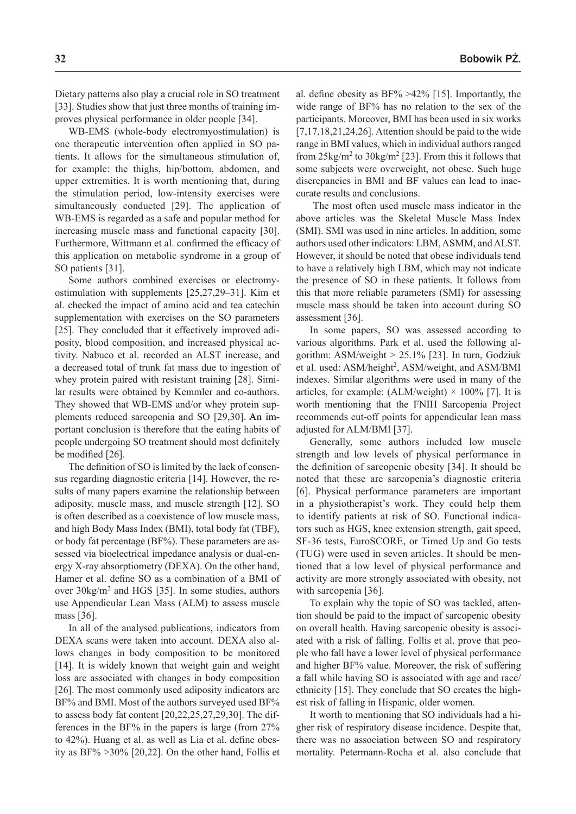Dietary patterns also play a crucial role in SO treatment [33]. Studies show that just three months of training improves physical performance in older people [34].

WB-EMS (whole-body electromyostimulation) is one therapeutic intervention often applied in SO patients. It allows for the simultaneous stimulation of, for example: the thighs, hip/bottom, abdomen, and upper extremities. It is worth mentioning that, during the stimulation period, low-intensity exercises were simultaneously conducted [29]. The application of WB-EMS is regarded as a safe and popular method for increasing muscle mass and functional capacity [30]. Furthermore, Wittmann et al. confirmed the efficacy of this application on metabolic syndrome in a group of SO patients [31].

Some authors combined exercises or electromyostimulation with supplements [25,27,29–31]. Kim et al. checked the impact of amino acid and tea catechin supplementation with exercises on the SO parameters [25]. They concluded that it effectively improved adiposity, blood composition, and increased physical activity. Nabuco et al. recorded an ALST increase, and a decreased total of trunk fat mass due to ingestion of whey protein paired with resistant training [28]. Similar results were obtained by Kemmler and co-authors. They showed that WB-EMS and/or whey protein supplements reduced sarcopenia and SO [29,30]. An important conclusion is therefore that the eating habits of people undergoing SO treatment should most definitely be modified [26].

The definition of SO is limited by the lack of consensus regarding diagnostic criteria [14]. However, the results of many papers examine the relationship between adiposity, muscle mass, and muscle strength [12]. SO is often described as a coexistence of low muscle mass, and high Body Mass Index (BMI), total body fat (TBF), or body fat percentage (BF%). These parameters are assessed via bioelectrical impedance analysis or dual-energy X-ray absorptiometry (DEXA). On the other hand, Hamer et al. define SO as a combination of a BMI of over 30kg/m2 and HGS [35]. In some studies, authors use Appendicular Lean Mass (ALM) to assess muscle mass [36].

In all of the analysed publications, indicators from DEXA scans were taken into account. DEXA also allows changes in body composition to be monitored [14]. It is widely known that weight gain and weight loss are associated with changes in body composition [26]. The most commonly used adiposity indicators are BF% and BMI. Most of the authors surveyed used BF% to assess body fat content [20,22,25,27,29,30]. The differences in the BF% in the papers is large (from 27% to 42%). Huang et al. as well as Lia et al. define obesity as BF% >30% [20,22]. On the other hand, Follis et al. define obesity as  $BF\% > 42\%$  [15]. Importantly, the wide range of BF% has no relation to the sex of the participants. Moreover, BMI has been used in six works [7,17,18,21,24,26]. Attention should be paid to the wide range in BMI values, which in individual authors ranged from  $25\text{kg/m}^2$  to  $30\text{kg/m}^2$  [23]. From this it follows that some subjects were overweight, not obese. Such huge discrepancies in BMI and BF values can lead to inaccurate results and conclusions.

 The most often used muscle mass indicator in the above articles was the Skeletal Muscle Mass Index (SMI). SMI was used in nine articles. In addition, some authors used other indicators: LBM, ASMM, and ALST. However, it should be noted that obese individuals tend to have a relatively high LBM, which may not indicate the presence of SO in these patients. It follows from this that more reliable parameters (SMI) for assessing muscle mass should be taken into account during SO assessment [36].

In some papers, SO was assessed according to various algorithms. Park et al. used the following algorithm: ASM/weight  $> 25.1\%$  [23]. In turn, Godziuk et al. used: ASM/height<sup>2</sup>, ASM/weight, and ASM/BMI indexes. Similar algorithms were used in many of the articles, for example: (ALM/weight)  $\times$  100% [7]. It is worth mentioning that the FNIH Sarcopenia Project recommends cut-off points for appendicular lean mass adjusted for ALM/BMI [37].

Generally, some authors included low muscle strength and low levels of physical performance in the definition of sarcopenic obesity [34]. It should be noted that these are sarcopenia's diagnostic criteria [6]. Physical performance parameters are important in a physiotherapist's work. They could help them to identify patients at risk of SO. Functional indicators such as HGS, knee extension strength, gait speed, SF-36 tests, EuroSCORE, or Timed Up and Go tests (TUG) were used in seven articles. It should be mentioned that a low level of physical performance and activity are more strongly associated with obesity, not with sarcopenia [36].

To explain why the topic of SO was tackled, attention should be paid to the impact of sarcopenic obesity on overall health. Having sarcopenic obesity is associated with a risk of falling. Follis et al. prove that people who fall have a lower level of physical performance and higher BF% value. Moreover, the risk of suffering a fall while having SO is associated with age and race/ ethnicity [15]. They conclude that SO creates the highest risk of falling in Hispanic, older women.

It worth to mentioning that SO individuals had a higher risk of respiratory disease incidence. Despite that, there was no association between SO and respiratory mortality. Petermann-Rocha et al. also conclude that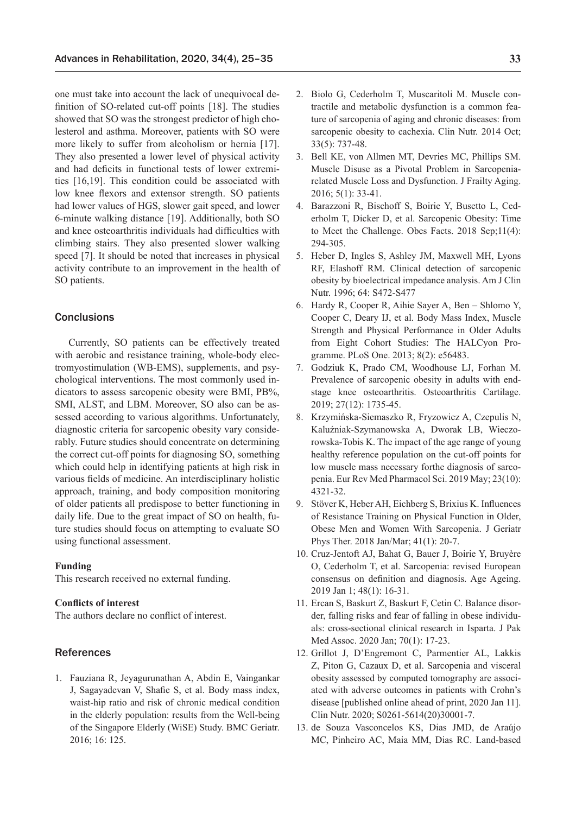one must take into account the lack of unequivocal definition of SO-related cut-off points [18]. The studies showed that SO was the strongest predictor of high cholesterol and asthma. Moreover, patients with SO were more likely to suffer from alcoholism or hernia [17]. They also presented a lower level of physical activity and had deficits in functional tests of lower extremities [16,19]. This condition could be associated with low knee flexors and extensor strength. SO patients had lower values of HGS, slower gait speed, and lower 6-minute walking distance [19]. Additionally, both SO and knee osteoarthritis individuals had difficulties with climbing stairs. They also presented slower walking speed [7]. It should be noted that increases in physical activity contribute to an improvement in the health of SO patients.

#### **Conclusions**

Currently, SO patients can be effectively treated with aerobic and resistance training, whole-body electromyostimulation (WB-EMS), supplements, and psychological interventions. The most commonly used indicators to assess sarcopenic obesity were BMI, PB%, SMI, ALST, and LBM. Moreover, SO also can be assessed according to various algorithms. Unfortunately, diagnostic criteria for sarcopenic obesity vary considerably. Future studies should concentrate on determining the correct cut-off points for diagnosing SO, something which could help in identifying patients at high risk in various fields of medicine. An interdisciplinary holistic approach, training, and body composition monitoring of older patients all predispose to better functioning in daily life. Due to the great impact of SO on health, future studies should focus on attempting to evaluate SO using functional assessment.

#### **Funding**

This research received no external funding.

### **Conflicts of interest**

The authors declare no conflict of interest.

### References

1. Fauziana R, Jeyagurunathan A, Abdin E, Vaingankar J, Sagayadevan V, Shafie S, et al. Body mass index, waist-hip ratio and risk of chronic medical condition in the elderly population: results from the Well-being of the Singapore Elderly (WiSE) Study. BMC Geriatr. 2016; 16: 125.

- 2. Biolo G, Cederholm T, Muscaritoli M. Muscle contractile and metabolic dysfunction is a common feature of sarcopenia of aging and chronic diseases: from sarcopenic obesity to cachexia. Clin Nutr. 2014 Oct; 33(5): 737-48.
- 3. Bell KE, von Allmen MT, Devries MC, Phillips SM. Muscle Disuse as a Pivotal Problem in Sarcopeniarelated Muscle Loss and Dysfunction. J Frailty Aging. 2016; 5(1): 33-41.
- 4. Barazzoni R, Bischoff S, Boirie Y, Busetto L, Cederholm T, Dicker D, et al. Sarcopenic Obesity: Time to Meet the Challenge. Obes Facts. 2018 Sep;11(4): 294-305.
- 5. Heber D, Ingles S, Ashley JM, Maxwell MH, Lyons RF, Elashoff RM. Clinical detection of sarcopenic obesity by bioelectrical impedance analysis. Am J Clin Nutr. 1996; 64: S472-S477
- 6. Hardy R, Cooper R, Aihie Sayer A, Ben Shlomo Y, Cooper C, Deary IJ, et al. Body Mass Index, Muscle Strength and Physical Performance in Older Adults from Eight Cohort Studies: The HALCyon Programme. PLoS One. 2013; 8(2): e56483.
- 7. Godziuk K, Prado CM, Woodhouse LJ, Forhan M. Prevalence of sarcopenic obesity in adults with endstage knee osteoarthritis. Osteoarthritis Cartilage. 2019; 27(12): 1735-45.
- 8. Krzymińska-Siemaszko R, Fryzowicz A, Czepulis N, Kaluźniak-Szymanowska A, Dworak LB, Wieczorowska-Tobis K. The impact of the age range of young healthy reference population on the cut-off points for low muscle mass necessary forthe diagnosis of sarcopenia. Eur Rev Med Pharmacol Sci. 2019 May; 23(10): 4321-32.
- 9. Stöver K, Heber AH, Eichberg S, Brixius K. Influences of Resistance Training on Physical Function in Older, Obese Men and Women With Sarcopenia. J Geriatr Phys Ther. 2018 Jan/Mar; 41(1): 20-7.
- 10. Cruz-Jentoft AJ, Bahat G, Bauer J, Boirie Y, Bruyère O, Cederholm T, et al. Sarcopenia: revised European consensus on definition and diagnosis. Age Ageing. 2019 Jan 1; 48(1): 16-31.
- 11. Ercan S, Baskurt Z, Baskurt F, Cetin C. Balance disorder, falling risks and fear of falling in obese individuals: cross-sectional clinical research in Isparta. J Pak Med Assoc. 2020 Jan; 70(1): 17-23.
- 12. Grillot J, D'Engremont C, Parmentier AL, Lakkis Z, Piton G, Cazaux D, et al. Sarcopenia and visceral obesity assessed by computed tomography are associated with adverse outcomes in patients with Crohn's disease [published online ahead of print, 2020 Jan 11]. Clin Nutr. 2020; S0261-5614(20)30001-7.
- 13. de Souza Vasconcelos KS, Dias JMD, de Araújo MC, Pinheiro AC, Maia MM, Dias RC. Land-based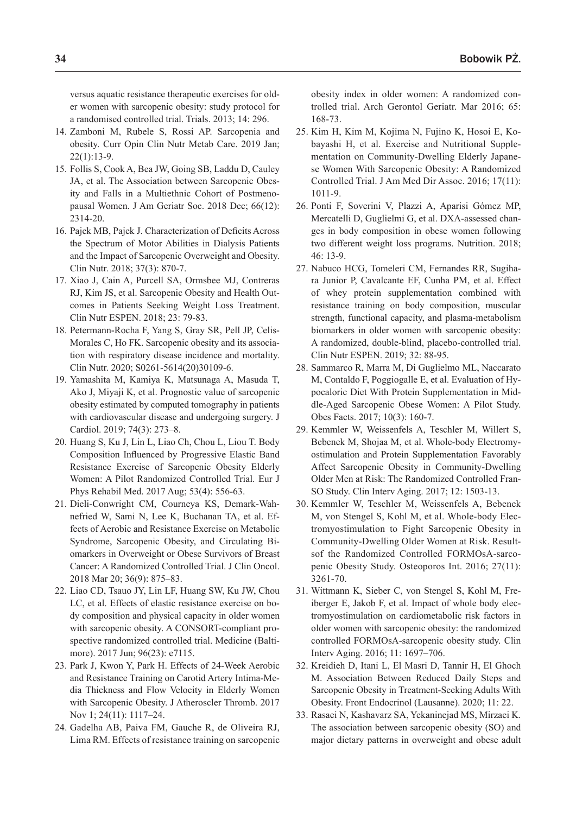versus aquatic resistance therapeutic exercises for older women with sarcopenic obesity: study protocol for a randomised controlled trial. Trials. 2013; 14: 296.

- 14. Zamboni M, Rubele S, Rossi AP. Sarcopenia and obesity. Curr Opin Clin Nutr Metab Care. 2019 Jan; 22(1):13-9.
- 15. Follis S, Cook A, Bea JW, Going SB, Laddu D, Cauley JA, et al. The Association between Sarcopenic Obesity and Falls in a Multiethnic Cohort of Postmenopausal Women. J Am Geriatr Soc. 2018 Dec; 66(12): 2314-20.
- 16. Pajek MB, Pajek J. Characterization of Deficits Across the Spectrum of Motor Abilities in Dialysis Patients and the Impact of Sarcopenic Overweight and Obesity. Clin Nutr. 2018; 37(3): 870-7.
- 17. Xiao J, Cain A, Purcell SA, Ormsbee MJ, Contreras RJ, Kim JS, et al. Sarcopenic Obesity and Health Outcomes in Patients Seeking Weight Loss Treatment. Clin Nutr ESPEN. 2018; 23: 79-83.
- 18. Petermann-Rocha F, Yang S, Gray SR, Pell JP, Celis-Morales C, Ho FK. Sarcopenic obesity and its association with respiratory disease incidence and mortality. Clin Nutr. 2020; S0261-5614(20)30109-6.
- 19. Yamashita M, Kamiya K, Matsunaga A, Masuda T, Ako J, Miyaji K, et al. Prognostic value of sarcopenic obesity estimated by computed tomography in patients with cardiovascular disease and undergoing surgery. J Cardiol. 2019; 74(3): 273–8.
- 20. Huang S, Ku J, Lin L, Liao Ch, Chou L, Liou T. Body Composition Influenced by Progressive Elastic Band Resistance Exercise of Sarcopenic Obesity Elderly Women: A Pilot Randomized Controlled Trial. Eur J Phys Rehabil Med. 2017 Aug; 53(4): 556-63.
- 21. Dieli-Conwright CM, Courneya KS, Demark-Wahnefried W, Sami N, Lee K, Buchanan TA, et al. Effects of Aerobic and Resistance Exercise on Metabolic Syndrome, Sarcopenic Obesity, and Circulating Biomarkers in Overweight or Obese Survivors of Breast Cancer: A Randomized Controlled Trial. J Clin Oncol. 2018 Mar 20; 36(9): 875–83.
- 22. Liao CD, Tsauo JY, Lin LF, Huang SW, Ku JW, Chou LC, et al. Effects of elastic resistance exercise on body composition and physical capacity in older women with sarcopenic obesity. A CONSORT-compliant prospective randomized controlled trial. Medicine (Baltimore). 2017 Jun; 96(23): e7115.
- 23. Park J, Kwon Y, Park H. Effects of 24-Week Aerobic and Resistance Training on Carotid Artery Intima-Media Thickness and Flow Velocity in Elderly Women with Sarcopenic Obesity. J Atheroscler Thromb. 2017 Nov 1; 24(11): 1117–24.
- 24. Gadelha AB, Paiva FM, Gauche R, de Oliveira RJ, Lima RM. Effects of resistance training on sarcopenic

obesity index in older women: A randomized controlled trial. Arch Gerontol Geriatr. Mar 2016; 65: 168-73.

- 25. Kim H, Kim M, Kojima N, Fujino K, Hosoi E, Kobayashi H, et al. Exercise and Nutritional Supplementation on Community-Dwelling Elderly Japanese Women With Sarcopenic Obesity: A Randomized Controlled Trial. J Am Med Dir Assoc. 2016; 17(11): 1011-9.
- 26. Ponti F, Soverini V, Plazzi A, Aparisi Gómez MP, Mercatelli D, Guglielmi G, et al. DXA-assessed changes in body composition in obese women following two different weight loss programs. Nutrition. 2018; 46: 13-9.
- 27. Nabuco HCG, Tomeleri CM, Fernandes RR, Sugihara Junior P, Cavalcante EF, Cunha PM, et al. Effect of whey protein supplementation combined with resistance training on body composition, muscular strength, functional capacity, and plasma-metabolism biomarkers in older women with sarcopenic obesity: A randomized, double-blind, placebo-controlled trial. Clin Nutr ESPEN. 2019; 32: 88-95.
- 28. Sammarco R, Marra M, Di Guglielmo ML, Naccarato M, Contaldo F, Poggiogalle E, et al. Evaluation of Hypocaloric Diet With Protein Supplementation in Middle-Aged Sarcopenic Obese Women: A Pilot Study. Obes Facts. 2017; 10(3): 160-7.
- 29. Kemmler W, Weissenfels A, Teschler M, Willert S, Bebenek M, Shojaa M, et al. Whole-body Electromyostimulation and Protein Supplementation Favorably Affect Sarcopenic Obesity in Community-Dwelling Older Men at Risk: The Randomized Controlled Fran-SO Study. Clin Interv Aging. 2017; 12: 1503-13.
- 30. Kemmler W, Teschler M, Weissenfels A, Bebenek M, von Stengel S, Kohl M, et al. Whole-body Electromyostimulation to Fight Sarcopenic Obesity in Community-Dwelling Older Women at Risk. Resultsof the Randomized Controlled FORMOsA-sarcopenic Obesity Study. Osteoporos Int. 2016; 27(11): 3261-70.
- 31. Wittmann K, Sieber C, von Stengel S, Kohl M, Freiberger E, Jakob F, et al. Impact of whole body electromyostimulation on cardiometabolic risk factors in older women with sarcopenic obesity: the randomized controlled FORMOsA-sarcopenic obesity study. Clin Interv Aging. 2016; 11: 1697–706.
- 32. Kreidieh D, Itani L, El Masri D, Tannir H, El Ghoch M. Association Between Reduced Daily Steps and Sarcopenic Obesity in Treatment-Seeking Adults With Obesity. Front Endocrinol (Lausanne). 2020; 11: 22.
- 33. Rasaei N, Kashavarz SA, Yekaninejad MS, Mirzaei K. The association between sarcopenic obesity (SO) and major dietary patterns in overweight and obese adult